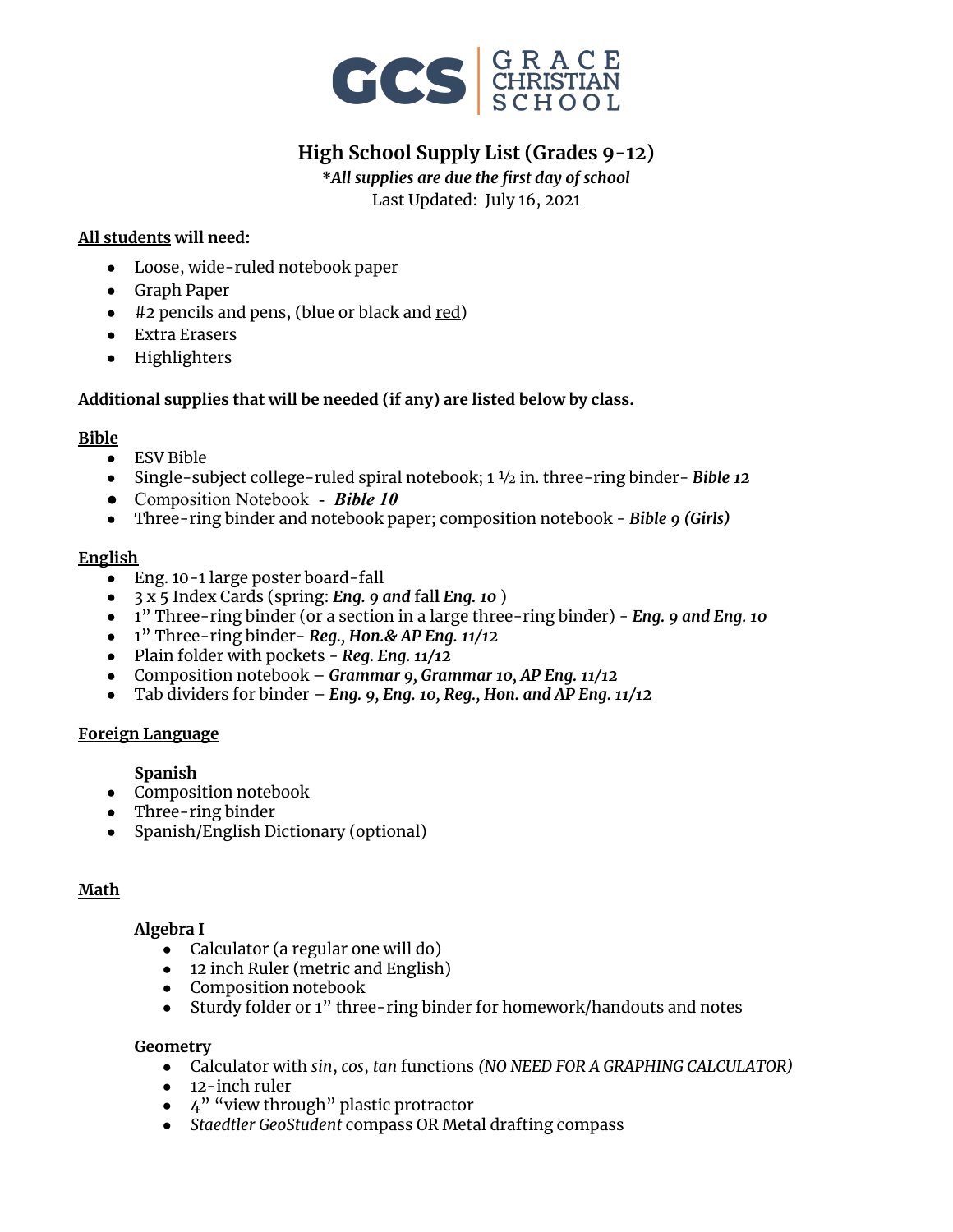

# **High School Supply List (Grades 9-12)**

**\****All supplies are due the first day of school*

Last Updated: July 16, 2021

## **All students will need:**

- Loose, wide-ruled notebook paper
- Graph Paper
- #2 pencils and pens, (blue or black and red)
- Extra Erasers
- Highlighters

## **Additional supplies that will be needed (if any) are listed below by class.**

## **Bible**

- ESV Bible
- Single-subject college-ruled spiral notebook; 1 ½ in. three-ring binder- *Bible 12*
- Composition Notebook *Bible 10*
- Three-ring binder and notebook paper; composition notebook *Bible 9 (Girls)*

## **English**

- Eng. 10-1 large poster board-fall
- 3 x 5 Index Cards (spring: *Eng. 9 and* fal**l** *Eng. 10* )
- 1" Three-ring binder (or a section in a large three-ring binder) *Eng. 9 and Eng. 10*
- 1" Three-ring binder- *Reg., Hon.& AP Eng. 11/12*
- Plain folder with pockets *- Reg. Eng. 11/12*
- Composition notebook *Grammar 9, Grammar 10, AP Eng. 11/12*
- Tab dividers for binder *Eng. 9, Eng. 10, Reg., Hon. and AP Eng. 11/12*

## **Foreign Language**

## **Spanish**

- Composition notebook
- Three-ring binder
- Spanish/English Dictionary (optional)

## **Math**

## **Algebra I**

- Calculator (a regular one will do)
- 12 inch Ruler (metric and English)
- Composition notebook
- Sturdy folder or 1" three-ring binder for homework/handouts and notes

## **Geometry**

- Calculator with *sin*, *cos*, *tan* functions *(NO NEED FOR A GRAPHING CALCULATOR)*
- 12-inch ruler
- 4" "view through" plastic protractor
- *Staedtler GeoStudent* compass OR Metal drafting compass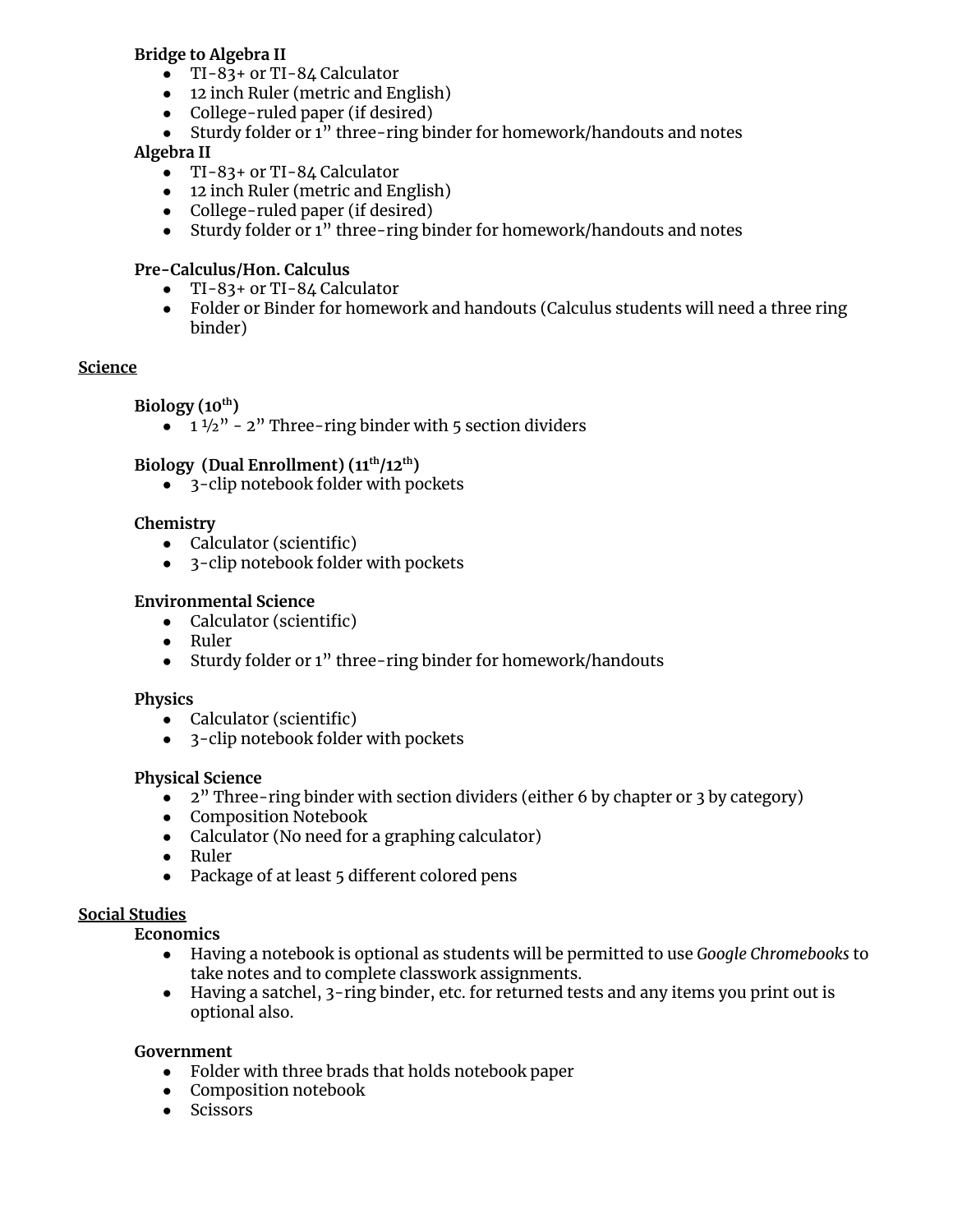## **Bridge to Algebra II**

- TI-83+ or TI-84 Calculator
- 12 inch Ruler (metric and English)
- College-ruled paper (if desired)
- Sturdy folder or 1" three-ring binder for homework/handouts and notes

## **Algebra II**

- TI-83+ or TI-84 Calculator
- 12 inch Ruler (metric and English)
- College-ruled paper (if desired)
- Sturdy folder or 1" three-ring binder for homework/handouts and notes

## **Pre-Calculus/Hon. Calculus**

- TI-83+ or TI-84 Calculator
- Folder or Binder for homework and handouts (Calculus students will need a three ring binder)

## **Science**

**Biology (10 th)**

 $\bullet$  1  $\frac{1}{2}$ " - 2" Three-ring binder with 5 section dividers

## **Biology (Dual Enrollment) (11 th/12 th)**

• 3-clip notebook folder with pockets

## **Chemistry**

- Calculator (scientific)
- 3-clip notebook folder with pockets

## **Environmental Science**

- Calculator (scientific)
- Ruler
- Sturdy folder or 1" three-ring binder for homework/handouts

## **Physics**

- Calculator (scientific)
- 3-clip notebook folder with pockets

## **Physical Science**

- 2" Three-ring binder with section dividers (either 6 by chapter or 3 by category)
- Composition Notebook
- Calculator (No need for a graphing calculator)
- Ruler
- Package of at least 5 different colored pens

## **Social Studies**

**Economics**

- Having a notebook is optional as students will be permitted to use *Google Chromebooks* to take notes and to complete classwork assignments.
- Having a satchel, 3-ring binder, etc. for returned tests and any items you print out is optional also.

## **Government**

- Folder with three brads that holds notebook paper
- Composition notebook
- Scissors